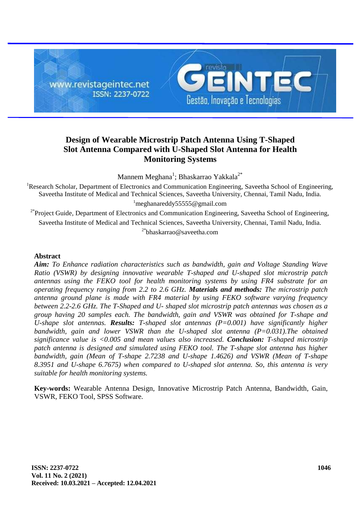

# **Design of Wearable Microstrip Patch Antenna Using T-Shaped Slot Antenna Compared with U-Shaped Slot Antenna for Health Monitoring Systems**

Mannem Meghana<sup>1</sup>; Bhaskarrao Yakkala<sup>2\*</sup>

<sup>1</sup>Research Scholar, Department of Electronics and Communication Engineering, Saveetha School of Engineering, Saveetha Institute of Medical and Technical Sciences, Saveetha University, Chennai, Tamil Nadu, India.  $^1$ [meghanareddy55555@gmail.com](mailto:1meghanareddy55555@gmail.com)

<sup>2\*</sup>Project Guide, Department of Electronics and Communication Engineering, Saveetha School of Engineering, Saveetha Institute of Medical and Technical Sciences, Saveetha University, Chennai, Tamil Nadu, India.  $2^*$ [bh](mailto:2balameau2005@gmail.com)askarrao@saveetha.com

# **Abstract**

*Aim: To Enhance radiation characteristics such as bandwidth, gain and Voltage Standing Wave Ratio (VSWR) by designing innovative wearable T-shaped and U-shaped slot microstrip patch antennas using the FEKO tool for health monitoring systems by using FR4 substrate for an operating frequency ranging from 2.2 to 2.6 GHz. Materials and methods: The microstrip patch antenna ground plane is made with FR4 material by using FEKO software varying frequency between 2.2-2.6 GHz. The T-Shaped and U- shaped slot microstrip patch antennas was chosen as a group having 20 samples each. The bandwidth, gain and VSWR was obtained for T-shape and U-shape slot antennas. Results: T-shaped slot antennas (P=0.001) have significantly higher bandwidth, gain and lower VSWR than the U-shaped slot antenna (P=0.031).The obtained significance value is <0.005 and mean values also increased. Conclusion: T-shaped microstrip patch antenna is designed and simulated using FEKO tool. The T-shape slot antenna has higher bandwidth, gain (Mean of T-shape 2.7238 and U-shape 1.4626) and VSWR (Mean of T-shape 8.3951 and U-shape 6.7675) when compared to U-shaped slot antenna. So, this antenna is very suitable for health monitoring systems.*

**Key-words:** Wearable Antenna Design, Innovative Microstrip Patch Antenna, Bandwidth, Gain, VSWR, FEKO Tool, SPSS Software.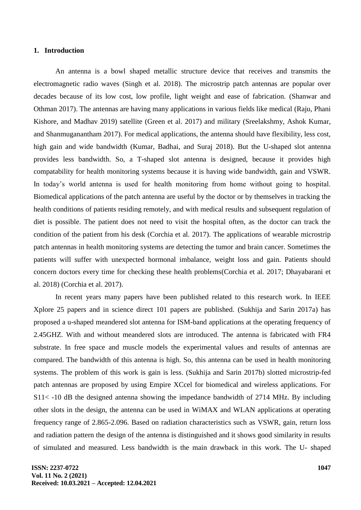#### **1. Introduction**

An antenna is a bowl shaped metallic structure device that receives and transmits the electromagnetic radio waves [\(Singh et al. 2018\).](https://paperpile.com/c/zVb3R1/uDdT) The microstrip patch antennas are popular over decades because of its low cost, low profile, light weight and ease of fabrication. [\(Shanwar and](https://paperpile.com/c/zVb3R1/Wh2c)  [Othman 2017\).](https://paperpile.com/c/zVb3R1/Wh2c) The antennas are having many applications in various fields like medical [\(Raju, Phani](https://paperpile.com/c/zVb3R1/LILq)  [Kishore, and Madhav 2019\)](https://paperpile.com/c/zVb3R1/LILq) satellite [\(Green et al. 2017\)](https://paperpile.com/c/zVb3R1/bnRd) and military [\(Sreelakshmy, Ashok Kumar,](https://paperpile.com/c/zVb3R1/oAGQ)  [and Shanmuganantham 2017\).](https://paperpile.com/c/zVb3R1/oAGQ) For medical applications, the antenna should have flexibility, less cost, high gain and wide bandwidth [\(Kumar, Badhai, and Suraj 2018\).](https://paperpile.com/c/zVb3R1/NcA3) But the U-shaped slot antenna provides less bandwidth. So, a T-shaped slot antenna is designed, because it provides high compatability for health monitoring systems because it is having wide bandwidth, gain and VSWR. In today's world antenna is used for health monitoring from home without going to hospital. Biomedical applications of the patch antenna are useful by the doctor or by themselves in tracking the health conditions of patients residing remotely, and with medical results and subsequent regulation of diet is possible. The patient does not need to visit the hospital often, as the doctor can track the condition of the patient from his desk [\(Corchia et al. 2017\).](https://paperpile.com/c/zVb3R1/26Nu) The applications of wearable microstrip patch antennas in health monitoring systems are detecting the tumor and brain cancer. Sometimes the patients will suffer with unexpected hormonal imbalance, weight loss and gain. Patients should concern doctors every time for checking these health problem[s\(Corchia et al. 2017; Dhayabarani et](https://paperpile.com/c/zVb3R1/26Nu+ZrfL)  [al. 2018\)](https://paperpile.com/c/zVb3R1/26Nu+ZrfL) [\(Corchia et al. 2017\).](https://paperpile.com/c/zVb3R1/26Nu)

In recent years many papers have been published related to this research work. In IEEE Xplore 25 papers and in science direct 101 papers are published. [\(Sukhija and Sarin 2017a\)](https://paperpile.com/c/zVb3R1/SeGl) has proposed a u-shaped meandered slot antenna for ISM-band applications at the operating frequency of 2.45GHZ. With and without meandered slots are introduced. The antenna is fabricated with FR4 substrate. In free space and muscle models the experimental values and results of antennas are compared. The bandwidth of this antenna is high. So, this antenna can be used in health monitoring systems. The problem of this work is gain is less. [\(Sukhija and Sarin 2017b\)](https://paperpile.com/c/zVb3R1/ieX9) slotted microstrip-fed patch antennas are proposed by using Empire XCcel for biomedical and wireless applications. For S11< -10 dB the designed antenna showing the impedance bandwidth of 2714 MHz. By including other slots in the design, the antenna can be used in WiMAX and WLAN applications at operating frequency range of 2.865-2.096. Based on radiation characteristics such as VSWR, gain, return loss and radiation pattern the design of the antenna is distinguished and it shows good similarity in results of simulated and measured. Less bandwidth is the main drawback in this work. The U- shaped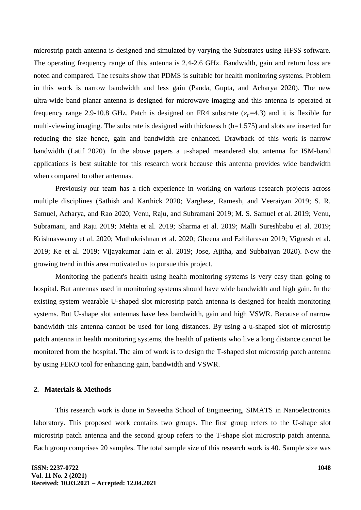microstrip patch antenna is designed and simulated by varying the Substrates using HFSS software. The operating frequency range of this antenna is 2.4-2.6 GHz. Bandwidth, gain and return loss are noted and compared. The results show that PDMS is suitable for health monitoring systems. Problem in this work is narrow bandwidth and less gain [\(Panda, Gupta, and Acharya 2020\).](https://paperpile.com/c/zVb3R1/ZdID) The new ultra-wide band planar antenna is designed for microwave imaging and this antenna is operated at frequency range 2.9-10.8 GHz. Patch is designed on FR4 substrate ( $\varepsilon_r$ =4.3) and it is flexible for multi-viewing imaging. The substrate is designed with thickness h (h=1.575) and slots are inserted for reducing the size hence, gain and bandwidth are enhanced. Drawback of this work is narrow bandwidth [\(Latif 2020\).](https://paperpile.com/c/zVb3R1/RR1E) In the above papers a u-shaped meandered slot antenna for ISM-band applications is best suitable for this research work because this antenna provides wide bandwidth when compared to other antennas.

Previously our team has a rich experience in working on various research projects across multiple disciplines [\(Sathish and Karthick 2020; Varghese, Ramesh, and Veeraiyan 2019; S. R.](https://paperpile.com/c/zVb3R1/sz8Nq+mDCf8+HTTva+P1UCR+p0WYY+VM4tP+AfepM+vqw55+dgvYW+GDPfi+2ig7x+4eSeY+WASCg+NUMOz+foRje+oVNeT)  [Samuel, Acharya, and Rao 2020; Venu, Raju, and Subramani 2019; M. S. Samuel et al. 2019; Venu,](https://paperpile.com/c/zVb3R1/sz8Nq+mDCf8+HTTva+P1UCR+p0WYY+VM4tP+AfepM+vqw55+dgvYW+GDPfi+2ig7x+4eSeY+WASCg+NUMOz+foRje+oVNeT)  [Subramani, and Raju 2019; Mehta et al. 2019; Sharma et al. 2019; Malli Sureshbabu](https://paperpile.com/c/zVb3R1/sz8Nq+mDCf8+HTTva+P1UCR+p0WYY+VM4tP+AfepM+vqw55+dgvYW+GDPfi+2ig7x+4eSeY+WASCg+NUMOz+foRje+oVNeT) [et al. 2019;](https://paperpile.com/c/zVb3R1/sz8Nq+mDCf8+HTTva+P1UCR+p0WYY+VM4tP+AfepM+vqw55+dgvYW+GDPfi+2ig7x+4eSeY+WASCg+NUMOz+foRje+oVNeT)  [Krishnaswamy et al. 2020; Muthukrishnan et al. 2020; Gheena and Ezhilarasan 2019; Vignesh et al.](https://paperpile.com/c/zVb3R1/sz8Nq+mDCf8+HTTva+P1UCR+p0WYY+VM4tP+AfepM+vqw55+dgvYW+GDPfi+2ig7x+4eSeY+WASCg+NUMOz+foRje+oVNeT)  [2019; Ke et al. 2019; Vijayakumar Jain et al. 2019; Jose, Ajitha, and Subbaiyan 2020\).](https://paperpile.com/c/zVb3R1/sz8Nq+mDCf8+HTTva+P1UCR+p0WYY+VM4tP+AfepM+vqw55+dgvYW+GDPfi+2ig7x+4eSeY+WASCg+NUMOz+foRje+oVNeT) Now the growing trend in this area motivated us to pursue this project.

Monitoring the patient's health using health monitoring systems is very easy than going to hospital. But antennas used in monitoring systems should have wide bandwidth and high gain. In the existing system wearable U-shaped slot microstrip patch antenna is designed for health monitoring systems. But U-shape slot antennas have less bandwidth, gain and high VSWR. Because of narrow bandwidth this antenna cannot be used for long distances. By using a u-shaped slot of microstrip patch antenna in health monitoring systems, the health of patients who live a long distance cannot be monitored from the hospital. The aim of work is to design the T-shaped slot microstrip patch antenna by using FEKO tool for enhancing gain, bandwidth and VSWR.

#### **2. Materials & Methods**

This research work is done in Saveetha School of Engineering, SIMATS in Nanoelectronics laboratory. This proposed work contains two groups. The first group refers to the U-shape slot microstrip patch antenna and the second group refers to the T-shape slot microstrip patch antenna. Each group comprises 20 samples. The total sample size of this research work is 40. Sample size was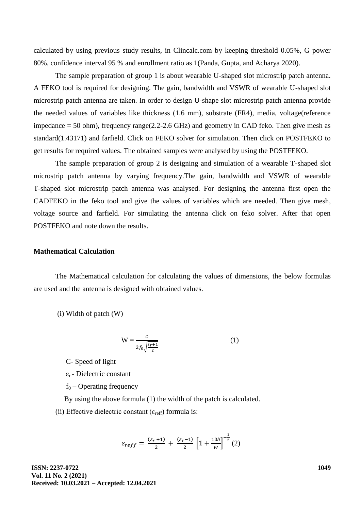calculated by using previous study results, in Clincalc.com by keeping threshold 0.05%, G power 80%, confidence interval 95 % and enrollment ratio as [1\(Panda, Gupta, and Acharya 2020\).](https://paperpile.com/c/zVb3R1/ZdID)

The sample preparation of group 1 is about wearable U-shaped slot microstrip patch antenna. A FEKO tool is required for designing. The gain, bandwidth and VSWR of wearable U-shaped slot microstrip patch antenna are taken. In order to design U-shape slot microstrip patch antenna provide the needed values of variables like thickness (1.6 mm), substrate (FR4), media, voltage(reference impedance  $= 50$  ohm), frequency range(2.2-2.6 GHz) and geometry in CAD feko. Then give mesh as standard(1.43171) and farfield. Click on FEKO solver for simulation. Then click on POSTFEKO to get results for required values. The obtained samples were analysed by using the POSTFEKO.

The sample preparation of group 2 is designing and simulation of a wearable T-shaped slot microstrip patch antenna by varying frequency.The gain, bandwidth and VSWR of wearable T-shaped slot microstrip patch antenna was analysed. For designing the antenna first open the CADFEKO in the feko tool and give the values of variables which are needed. Then give mesh, voltage source and farfield. For simulating the antenna click on feko solver. After that open POSTFEKO and note down the results.

## **Mathematical Calculation**

The Mathematical calculation for calculating the values of dimensions, the below formulas are used and the antenna is designed with obtained values.

(i) Width of patch (W)

$$
W = \frac{c}{2f_0 \sqrt{\frac{\varepsilon_r + 1}{2}}} \tag{1}
$$

C- Speed of light

 $\varepsilon_r$  - Dielectric constant

 $f_0$  – Operating frequency

By using the above formula (1) the width of the patch is calculated.

(ii) Effective dielectric constant ( $\varepsilon_{reff}$ ) formula is:

$$
\varepsilon_{reff} = \frac{(\varepsilon_r + 1)}{2} + \frac{(\varepsilon_r - 1)}{2} \left[ 1 + \frac{10h}{w} \right]^{-\frac{1}{2}} (2)
$$

**ISSN: 2237-0722 Vol. 11 No. 2 (2021) Received: 10.03.2021 – Accepted: 12.04.2021**  **1049**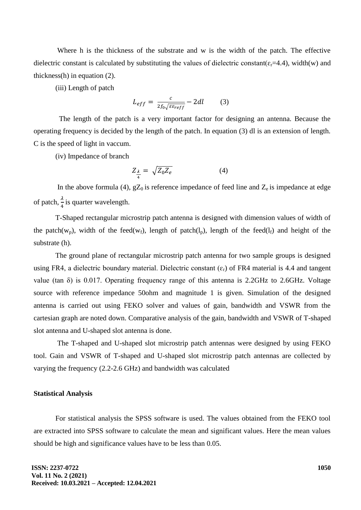Where h is the thickness of the substrate and w is the width of the patch. The effective dielectric constant is calculated by substituting the values of dielectric constant( $\varepsilon_r$ =4.4), width(w) and thickness(h) in equation (2).

(iii) Length of patch

$$
L_{eff} = \frac{c}{2f_0\sqrt{\varepsilon\varepsilon_{reff}}} - 2dl \tag{3}
$$

 The length of the patch is a very important factor for designing an antenna. Because the operating frequency is decided by the length of the patch. In equation (3) dl is an extension of length. C is the speed of light in vaccum.

(iv) Impedance of branch

$$
Z_{\frac{\lambda}{4}} = \sqrt{Z_0 Z_e} \tag{4}
$$

In the above formula (4),  $gZ_0$  is reference impedance of feed line and  $Z_e$  is impedance at edge of patch,  $\frac{\pi}{4}$  is quarter wavelength.

T-Shaped rectangular microstrip patch antenna is designed with dimension values of width of the patch(w<sub>p</sub>), width of the feed(w<sub>f</sub>), length of patch(l<sub>p</sub>), length of the feed(l<sub>f</sub>) and height of the substrate (h).

The ground plane of rectangular microstrip patch antenna for two sample groups is designed using FR4, a dielectric boundary material. Dielectric constant  $(\epsilon_r)$  of FR4 material is 4.4 and tangent value (tan  $\delta$ ) is 0.017. Operating frequency range of this antenna is 2.2GHz to 2.6GHz. Voltage source with reference impedance 50ohm and magnitude 1 is given. Simulation of the designed antenna is carried out using FEKO solver and values of gain, bandwidth and VSWR from the cartesian graph are noted down. Comparative analysis of the gain, bandwidth and VSWR of T-shaped slot antenna and U-shaped slot antenna is done.

The T-shaped and U-shaped slot microstrip patch antennas were designed by using FEKO tool. Gain and VSWR of T-shaped and U-shaped slot microstrip patch antennas are collected by varying the frequency (2.2-2.6 GHz) and bandwidth was calculated

### **Statistical Analysis**

For statistical analysis the SPSS software is used. The values obtained from the FEKO tool are extracted into SPSS software to calculate the mean and significant values. Here the mean values should be high and significance values have to be less than 0.05.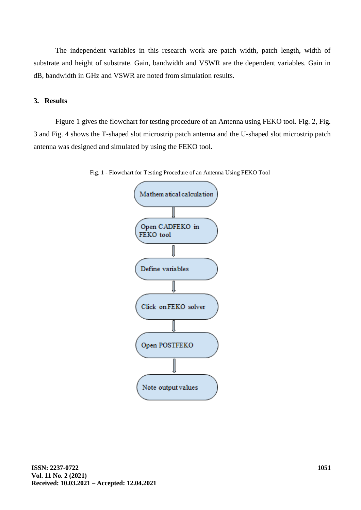The independent variables in this research work are patch width, patch length, width of substrate and height of substrate. Gain, bandwidth and VSWR are the dependent variables. Gain in dB, bandwidth in GHz and VSWR are noted from simulation results.

# **3. Results**

Figure 1 gives the flowchart for testing procedure of an Antenna using FEKO tool. Fig. 2, Fig. 3 and Fig. 4 shows the T-shaped slot microstrip patch antenna and the U-shaped slot microstrip patch antenna was designed and simulated by using the FEKO tool.



Fig. 1 - Flowchart for Testing Procedure of an Antenna Using FEKO Tool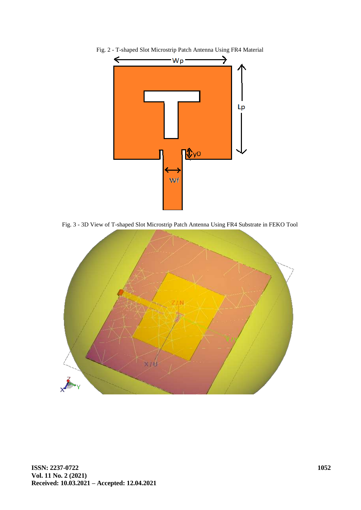

Fig. 2 - T-shaped Slot Microstrip Patch Antenna Using FR4 Material

Fig. 3 - 3D View of T-shaped Slot Microstrip Patch Antenna Using FR4 Substrate in FEKO Tool

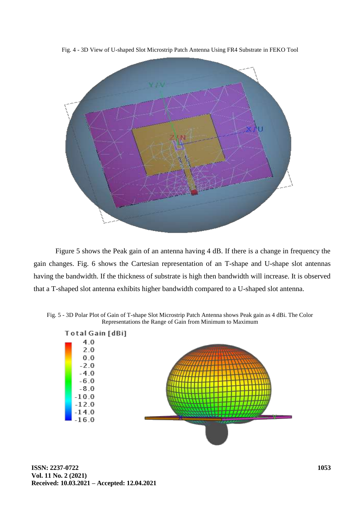Fig. 4 - 3D View of U-shaped Slot Microstrip Patch Antenna Using FR4 Substrate in FEKO Tool



Figure 5 shows the Peak gain of an antenna having 4 dB. If there is a change in frequency the gain changes. Fig. 6 shows the Cartesian representation of an T-shape and U-shape slot antennas having the bandwidth. If the thickness of substrate is high then bandwidth will increase. It is observed that a T-shaped slot antenna exhibits higher bandwidth compared to a U-shaped slot antenna.

Fig. 5 - 3D Polar Plot of Gain of T-shape Slot Microstrip Patch Antenna shows Peak gain as 4 dBi. The Color Representations the Range of Gain from Minimum to Maximum

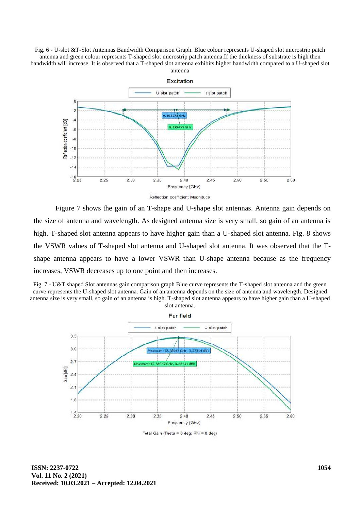Fig. 6 - U-slot &T-Slot Antennas Bandwidth Comparison Graph. Blue colour represents U-shaped slot microstrip patch antenna and green colour represents T-shaped slot microstrip patch antenna.If the thickness of substrate is high then bandwidth will increase. It is observed that a T-shaped slot antenna exhibits higher bandwidth compared to a U-shaped slot antenna



Figure 7 shows the gain of an T-shape and U-shape slot antennas. Antenna gain depends on the size of antenna and wavelength. As designed antenna size is very small, so gain of an antenna is high. T-shaped slot antenna appears to have higher gain than a U-shaped slot antenna. Fig. 8 shows the VSWR values of T-shaped slot antenna and U-shaped slot antenna. It was observed that the Tshape antenna appears to have a lower VSWR than U-shape antenna because as the frequency increases, VSWR decreases up to one point and then increases.





Total Gain (Theta = 0 deg; Phi = 0 deg)

**ISSN: 2237-0722 Vol. 11 No. 2 (2021) Received: 10.03.2021 – Accepted: 12.04.2021**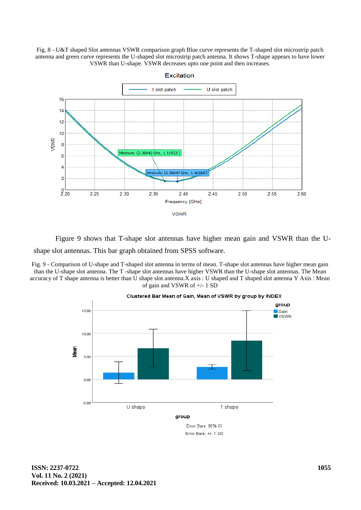Fig. 8 - U&T shaped Slot antennas VSWR comparison graph Blue curve represents the T-shaped slot microstrip patch antenna and green curve represents the U-shaped slot microstrip patch antenna. It shows T-shape appears to have lower VSWR than U-shape. VSWR decreases upto one point and then increases.



Figure 9 shows that T-shape slot antennas have higher mean gain and VSWR than the Ushape slot antennas. This bar graph obtained from SPSS software.

Fig. 9 - Comparison of U-shape and T-shaped slot antenna in terms of mean. T-shape slot antennas have higher mean gain than the U-shape slot antenna. The T -shape slot antennas have higher VSWR than the U-shape slot antennas. The Mean accuracy of T shape antenna is better than U shape slot antenna.X axis : U shaped and T shaped slot antenna Y Axis : Mean of gain and VSWR of +/- 1 SD



#### Clustered Bar Mean of Gain, Mean of VSWR by group by INDEX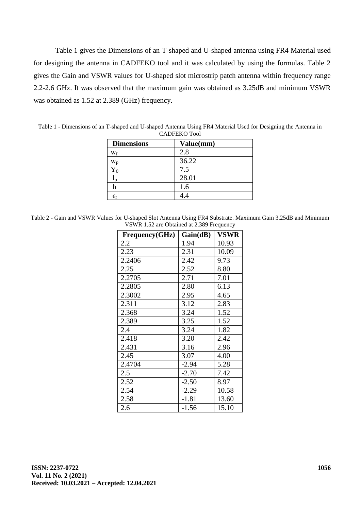Table 1 gives the Dimensions of an T-shaped and U-shaped antenna using FR4 Material used for designing the antenna in CADFEKO tool and it was calculated by using the formulas. Table 2 gives the Gain and VSWR values for U-shaped slot microstrip patch antenna within frequency range 2.2-2.6 GHz. It was observed that the maximum gain was obtained as 3.25dB and minimum VSWR was obtained as 1.52 at 2.389 (GHz) frequency.

| <b>Dimensions</b>     | Value(mm) |
|-----------------------|-----------|
| Wf                    | 2.8       |
| $\rm W_p$             | 36.22     |
| $Y_0$                 | 7.5       |
|                       | 28.01     |
|                       | 1.6       |
| $\epsilon_{\text{r}}$ |           |

Table 1 - Dimensions of an T-shaped and U-shaped Antenna Using FR4 Material Used for Designing the Antenna in CADFEKO Tool

| Table 2 - Gain and VSWR Values for U-shaped Slot Antenna Using FR4 Substrate. Maximum Gain 3.25dB and Minimum |                                           |  |  |
|---------------------------------------------------------------------------------------------------------------|-------------------------------------------|--|--|
|                                                                                                               | VSWR 1.52 are Obtained at 2.389 Frequency |  |  |

| Frequency(GHz) | Gain(dB) | <b>VSWR</b> |
|----------------|----------|-------------|
| 2.2            | 1.94     | 10.93       |
| 2.23           | 2.31     | 10.09       |
| 2.2406         | 2.42     | 9.73        |
| 2.25           | 2.52     | 8.80        |
| 2.2705         | 2.71     | 7.01        |
| 2.2805         | 2.80     | 6.13        |
| 2.3002         | 2.95     | 4.65        |
| 2.311          | 3.12     | 2.83        |
| 2.368          | 3.24     | 1.52        |
| 2.389          | 3.25     | 1.52        |
| 2.4            | 3.24     | 1.82        |
| 2.418          | 3.20     | 2.42        |
| 2.431          | 3.16     | 2.96        |
| 2.45           | 3.07     | 4.00        |
| 2.4704         | $-2.94$  | 5.28        |
| 2.5            | $-2.70$  | 7.42        |
| 2.52           | $-2.50$  | 8.97        |
| 2.54           | $-2.29$  | 10.58       |
| 2.58           | $-1.81$  | 13.60       |
| 2.6            | $-1.56$  | 15.10       |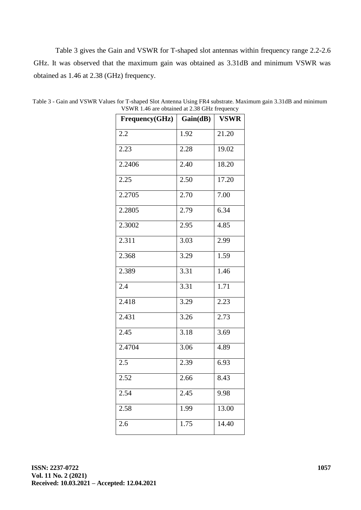Table 3 gives the Gain and VSWR for T-shaped slot antennas within frequency range 2.2-2.6 GHz. It was observed that the maximum gain was obtained as 3.31dB and minimum VSWR was obtained as 1.46 at 2.38 (GHz) frequency.

| Frequency(GHz) | Gain(dB) | <b>VSWR</b> |
|----------------|----------|-------------|
| 2.2            | 1.92     | 21.20       |
| 2.23           | 2.28     | 19.02       |
| 2.2406         | 2.40     | 18.20       |
| 2.25           | 2.50     | 17.20       |
| 2.2705         | 2.70     | 7.00        |
| 2.2805         | 2.79     | 6.34        |
| 2.3002         | 2.95     | 4.85        |
| 2.311          | 3.03     | 2.99        |
| 2.368          | 3.29     | 1.59        |
| 2.389          | 3.31     | 1.46        |
| 2.4            | 3.31     | 1.71        |
| 2.418          | 3.29     | 2.23        |
| 2.431          | 3.26     | 2.73        |
| 2.45           | 3.18     | 3.69        |
| 2.4704         | 3.06     | 4.89        |
| 2.5            | 2.39     | 6.93        |
| 2.52           | 2.66     | 8.43        |
| 2.54           | 2.45     | 9.98        |
| 2.58           | 1.99     | 13.00       |
| 2.6            | 1.75     | 14.40       |

Table 3 - Gain and VSWR Values for T-shaped Slot Antenna Using FR4 substrate. Maximum gain 3.31dB and minimum VSWR 1.46 are obtained at 2.38 GHz frequency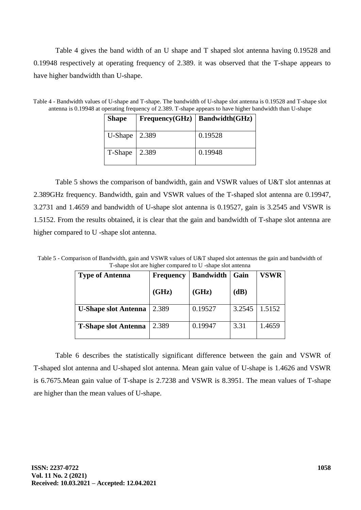Table 4 gives the band width of an U shape and T shaped slot antenna having 0.19528 and 0.19948 respectively at operating frequency of 2.389. it was observed that the T-shape appears to have higher bandwidth than U-shape.

Table 4 - Bandwidth values of U-shape and T-shape. The bandwidth of U-shape slot antenna is 0.19528 and T-shape slot antenna is 0.19948 at operating frequency of 2.389. T-shape appears to have higher bandwidth than U-shape

| <b>Shape</b> |       | Frequency(GHz)   Bandwidth(GHz) |
|--------------|-------|---------------------------------|
| U-Shape      | 2.389 | 0.19528                         |
| T-Shape      | 2.389 | 0.19948                         |

Table 5 shows the comparison of bandwidth, gain and VSWR values of U&T slot antennas at 2.389GHz frequency. Bandwidth, gain and VSWR values of the T-shaped slot antenna are 0.19947, 3.2731 and 1.4659 and bandwidth of U-shape slot antenna is 0.19527, gain is 3.2545 and VSWR is 1.5152. From the results obtained, it is clear that the gain and bandwidth of T-shape slot antenna are higher compared to U -shape slot antenna.

Table 5 - Comparison of Bandwidth, gain and VSWR values of U&T shaped slot antennas the gain and bandwidth of T-shape slot are higher compared to U -shape slot antenna

| <b>Type of Antenna</b>      | <b>Frequency</b> | <b>Bandwidth</b> | Gain   | VSWR   |  |
|-----------------------------|------------------|------------------|--------|--------|--|
|                             | (GHz)            | (GHz)            | (dB)   |        |  |
| <b>U-Shape slot Antenna</b> | 2.389            | 0.19527          | 3.2545 | 1.5152 |  |
| <b>T-Shape slot Antenna</b> | 2.389            | 0.19947          | 3.31   | 1.4659 |  |

Table 6 describes the statistically significant difference between the gain and VSWR of T-shaped slot antenna and U-shaped slot antenna. Mean gain value of U-shape is 1.4626 and VSWR is 6.7675.Mean gain value of T-shape is 2.7238 and VSWR is 8.3951. The mean values of T-shape are higher than the mean values of U-shape.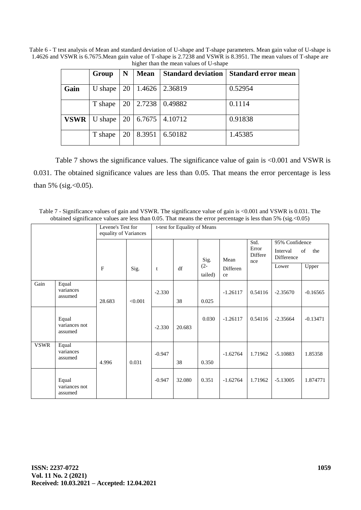Table 6 - T test analysis of Mean and standard deviation of U-shape and T-shape parameters. Mean gain value of U-shape is 1.4626 and VSWR is 6.7675.Mean gain value of T-shape is 2.7238 and VSWR is 8.3951. The mean values of T-shape are higher than the mean values of U-shape

|             | Group   | N  | <b>Mean</b> | <b>Standard deviation</b> | <b>Standard error mean</b> |
|-------------|---------|----|-------------|---------------------------|----------------------------|
| Gain        | U shape | 20 | 1.4626      | 2.36819                   | 0.52954                    |
|             | T shape | 20 | 2.7238      | 0.49882                   | 0.1114                     |
| <b>VSWR</b> | U shape | 20 | 6.7675      | 4.10712                   | 0.91838                    |
|             | T shape | 20 | 8.3951      | 6.50182                   | 1.45385                    |

Table 7 shows the significance values. The significance value of gain is <0.001 and VSWR is 0.031. The obtained significance values are less than 0.05. That means the error percentage is less than 5% (sig. <  $0.05$ ).

Table 7 - Significance values of gain and VSWR. The significance value of gain is <0.001 and VSWR is 0.031. The obtained significance values are less than 0.05. That means the error percentage is less than 5% (sig.<0.05)

| Levene's Test for<br>equality of Variances |                                   | t-test for Equality of Means |         |          |        |                   |                |                         |                |            |
|--------------------------------------------|-----------------------------------|------------------------------|---------|----------|--------|-------------------|----------------|-------------------------|----------------|------------|
|                                            |                                   |                              |         |          |        |                   |                | Std.                    | 95% Confidence |            |
|                                            |                                   |                              |         |          |        | Sig.              | Mean           | Error<br>Differe<br>nce |                | of<br>the  |
|                                            |                                   | $\mathbf{F}$                 | Sig.    | t        | df     | $(2 -$<br>tailed) | Differen<br>ce |                         | Lower          | Upper      |
| Gain                                       | Equal<br>variances<br>assumed     | 28.683                       | < 0.001 | $-2.330$ | 38     | 0.025             | $-1.26117$     | 0.54116                 | $-2.35670$     | $-0.16565$ |
|                                            | Equal<br>variances not<br>assumed |                              |         | $-2.330$ | 20.683 | 0.030             | $-1.26117$     | 0.54116                 | $-2.35664$     | $-0.13471$ |
| <b>VSWR</b>                                | Equal<br>variances<br>assumed     | 4.996                        | 0.031   | $-0.947$ | 38     | 0.350             | $-1.62764$     | 1.71962                 | $-5.10883$     | 1.85358    |
|                                            | Equal<br>variances not<br>assumed |                              |         | $-0.947$ | 32.080 | 0.351             | $-1.62764$     | 1.71962                 | $-5.13005$     | 1.874771   |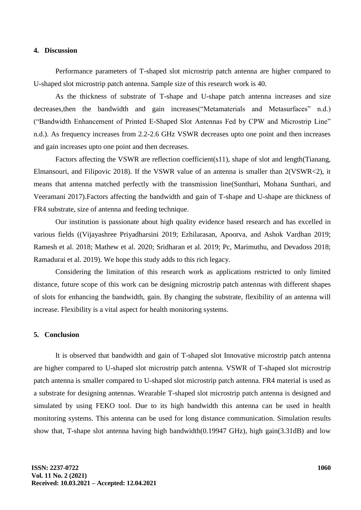#### **4. Discussion**

Performance parameters of T-shaped slot microstrip patch antenna are higher compared to U-shaped slot microstrip patch antenna. Sample size of this research work is 40.

As the thickness of substrate of T-shape and U-shape patch antenna increases and size decreases,then the bandwidth and gain increase[s\("Metamaterials and Metasurfaces" n.d.\)](https://paperpile.com/c/zVb3R1/grhi) [\("Bandwidth Enhancement of Printed E-Shaped Slot Antennas Fed by CPW and Microstrip Line"](https://paperpile.com/c/zVb3R1/xIR0)  [n.d.\).](https://paperpile.com/c/zVb3R1/xIR0) As frequency increases from 2.2-2.6 GHz VSWR decreases upto one point and then increases and gain increases upto one point and then decreases.

Factors affecting the VSWR are reflection coefficient( $s11$ ), shape of slot and length(Tianang, [Elmansouri, and Filipovic 2018\).](https://paperpile.com/c/zVb3R1/iBH5) If the VSWR value of an antenna is smaller than 2(VSWR<2), it means that antenna matched perfectly with the transmission lin[e\(Sunthari, Mohana Sunthari, and](https://paperpile.com/c/zVb3R1/jOQa)  [Veeramani 2017\).](https://paperpile.com/c/zVb3R1/jOQa)Factors affecting the bandwidth and gain of T-shape and U-shape are thickness of FR4 substrate, size of antenna and feeding technique.

Our institution is passionate about high quality evidence based research and has excelled in various fields [\(\(Vijayashree Priyadharsini](https://paperpile.com/c/zVb3R1/4NIzB+7uic6+8jjlq+szu7N+Ga4Am+2zIb8+fHD1h) [2019; Ezhilarasan, Apoorva, and Ashok Vardhan 2019;](https://paperpile.com/c/zVb3R1/4NIzB+7uic6+8jjlq+szu7N+Ga4Am+2zIb8+fHD1h)  [Ramesh et al. 2018; Mathew et al. 2020; Sridharan et al. 2019; Pc, Marimuthu, and Devadoss 2018;](https://paperpile.com/c/zVb3R1/4NIzB+7uic6+8jjlq+szu7N+Ga4Am+2zIb8+fHD1h)  [Ramadurai et al. 2019\).](https://paperpile.com/c/zVb3R1/4NIzB+7uic6+8jjlq+szu7N+Ga4Am+2zIb8+fHD1h) We hope this study adds to this rich legacy.

Considering the limitation of this research work as applications restricted to only limited distance, future scope of this work can be designing microstrip patch antennas with different shapes of slots for enhancing the bandwidth, gain. By changing the substrate, flexibility of an antenna will increase. Flexibility is a vital aspect for health monitoring systems.

### **5. Conclusion**

It is observed that bandwidth and gain of T-shaped slot Innovative microstrip patch antenna are higher compared to U-shaped slot microstrip patch antenna. VSWR of T-shaped slot microstrip patch antenna is smaller compared to U-shaped slot microstrip patch antenna. FR4 material is used as a substrate for designing antennas. Wearable T-shaped slot microstrip patch antenna is designed and simulated by using FEKO tool. Due to its high bandwidth this antenna can be used in health monitoring systems. This antenna can be used for long distance communication. Simulation results show that, T-shape slot antenna having high bandwidth(0.19947 GHz), high gain(3.31dB) and low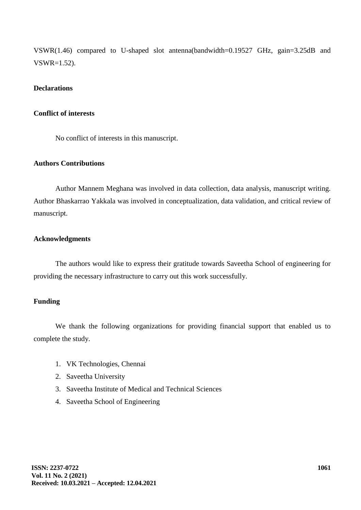VSWR(1.46) compared to U-shaped slot antenna(bandwidth=0.19527 GHz, gain=3.25dB and VSWR=1.52).

## **Declarations**

### **Conflict of interests**

No conflict of interests in this manuscript.

## **Authors Contributions**

Author Mannem Meghana was involved in data collection, data analysis, manuscript writing. Author Bhaskarrao Yakkala was involved in conceptualization, data validation, and critical review of manuscript.

# **Acknowledgments**

The authors would like to express their gratitude towards Saveetha School of engineering for providing the necessary infrastructure to carry out this work successfully.

# **Funding**

We thank the following organizations for providing financial support that enabled us to complete the study.

- 1. VK Technologies, Chennai
- 2. Saveetha University
- 3. Saveetha Institute of Medical and Technical Sciences
- 4. Saveetha School of Engineering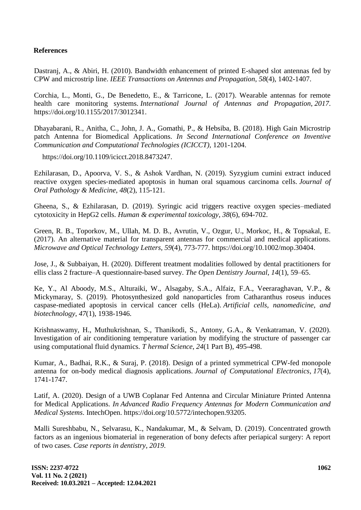# **References**

Dastranj, A., & Abiri, H. (2010). Bandwidth enhancement of printed E-shaped slot antennas fed by CPW and microstrip line. *IEEE Transactions on Antennas and Propagation*, *58*(4), 1402-1407.

Corchia, L., Monti, G., De Benedetto, E., & Tarricone, L. (2017). Wearable antennas for remote health care monitoring systems. *International Journal of Antennas and Propagation*, *2017*[.](http://paperpile.com/b/zVb3R1/26Nu)  [https://doi.org/](http://paperpile.com/b/zVb3R1/26Nu)[10.1155/2017/3012341.](http://dx.doi.org/10.1155/2017/3012341)

Dhayabarani, R., Anitha, C., John, J. A., Gomathi, P., & Hebsiba, B. (2018). High Gain Microstrip patch Antenna for Biomedical Applications. *In Second International Conference on Inventive Communication and Computational Technologies (ICICCT),* 1201-1204.

https://doi.org/10.1109/icicct.2018.847324[7.](http://paperpile.com/b/zVb3R1/ZrfL)

Ezhilarasan, D., Apoorva, V. S., & Ashok Vardhan, N. (2019). Syzygium cumini extract induced reactive oxygen species‐mediated apoptosis in human oral squamous carcinoma cells. *Journal of Oral Pathology & Medicine*, *48*(2), 115-121.

Gheena, S., & Ezhilarasan, D. (2019). Syringic acid triggers reactive oxygen species–mediated cytotoxicity in HepG2 cells. *Human & experimental toxicology*, *38*(6), 694-702.

Green, R. B., Toporkov, M., Ullah, M. D. B., Avrutin, V., Ozgur, U., Morkoc, H., & Topsakal, E. (2017). An alternative material for transparent antennas for commercial and medical applications. *Microwave and Optical Technology Letters, 59*(4), 773-777. https://doi.org/10.1002/mop.3040[4.](http://paperpile.com/b/zVb3R1/bnRd)

Jose, J., & Subbaiyan, H. (2020). Different treatment modalities followed by dental practitioners for ellis class 2 fracture–A questionnaire-based survey. *The Open Dentistry Journal*, *14*(1), [59–65.](http://paperpile.com/b/zVb3R1/oVNeT)

Ke, Y., Al Aboody, M.S., Alturaiki, W., Alsagaby, S.A., Alfaiz, F.A., Veeraraghavan, V.P., & Mickymaray, S. (2019). Photosynthesized gold nanoparticles from Catharanthus roseus induces caspase-mediated apoptosis in cervical cancer cells (HeLa). *Artificial cells, nanomedicine, and biotechnology*, *47*(1), 1938-1946.

Krishnaswamy, H., Muthukrishnan, S., Thanikodi, S., Antony, G.A., & Venkatraman, V. (2020). Investigation of air conditioning temperature variation by modifying the structure of passenger car using computational fluid dynamics. *T hermal Science*, *24*(1 Part B), 495-498.

Kumar, A., Badhai, R.K., & Suraj, P. (2018). Design of a printed symmetrical CPW-fed monopole antenna for on-body medical diagnosis applications. *Journal of Computational Electronics*, *17*(4), 1741-1747.

Latif, A. (2020). Design of a UWB Coplanar Fed Antenna and Circular Miniature Printed Antenna for Medical Applications. *In Advanced Radio Frequency Antennas for Modern Communication and Medical Systems*. IntechOpen. [https://doi.org/10.5772/intechopen.93205.](http://paperpile.com/b/zVb3R1/RR1E)

Malli Sureshbabu, N., Selvarasu, K., Nandakumar, M., & Selvam, D. (2019). Concentrated growth factors as an ingenious biomaterial in regeneration of bony defects after periapical surgery: A report of two cases. *Case reports in dentistry*, *2019*.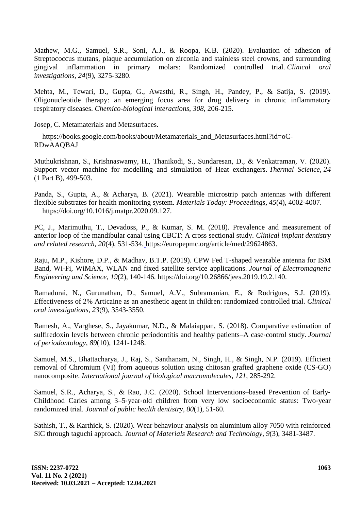Mathew, M.G., Samuel, S.R., Soni, A.J., & Roopa, K.B. (2020). Evaluation of adhesion of Streptococcus mutans, plaque accumulation on zirconia and stainless steel crowns, and surrounding gingival inflammation in primary molars: Randomized controlled trial. *Clinical oral investigations*, *24*(9), 3275-3280[.](http://paperpile.com/b/zVb3R1/szu7N)

Mehta, M., Tewari, D., Gupta, G., Awasthi, R., Singh, H., Pandey, P., & Satija, S. (2019). Oligonucleotide therapy: an emerging focus area for drug delivery in chronic inflammatory respiratory diseases. *Chemico-biological interactions*, *308*, 206-215.

Josep, C. [Metamaterials and Metasurfaces.](http://paperpile.com/b/zVb3R1/grhi)

[https://books.google.com/books/about/Metamaterials\\_and\\_Metasurfaces.html?id=oC-](https://books.google.com/books/about/Metamaterials_and_Metasurfaces.html?id=oC-RDwAAQBAJ)[RDwAAQBAJ](https://books.google.com/books/about/Metamaterials_and_Metasurfaces.html?id=oC-RDwAAQBAJ)

Muthukrishnan, S., Krishnaswamy, H., Thanikodi, S., Sundaresan, D., & Venkatraman, V. (2020). Support vector machine for modelling and simulation of Heat exchangers. *Thermal Science*, *24*  (1 Part B), 499-503.

Panda, S., Gupta, A., & Acharya, B. (2021). Wearable microstrip patch antennas with different flexible substrates for health monitoring system. *Materials Today: Proceedings*, *45*[\(4\), 4002-4007.](45(4),%204002-4007.https:/doi.org/) [https://doi.org/](45(4),%204002-4007.https:/doi.org/)[10.1016/j.matpr.2020.09.127.](http://dx.doi.org/10.1016/j.matpr.2020.09.127)

PC, J., Marimuthu, T., Devadoss, P., & Kumar, S. M. (2018). Prevalence and measurement of anterior loop of the mandibular canal using CBCT: A cross sectional study. *Clinical implant dentistry and related research*, *20*(4), 531-534[.](%20) [https://europepmc.org/article/med/29624863](%20)[.](http://paperpile.com/b/zVb3R1/2zIb8)

Raju, M.P., Kishore, D.P., & Madhav, B.T.P. (2019). CPW Fed T-shaped wearable antenna for ISM Band, Wi-Fi, WiMAX, WLAN and fixed satellite service applications. *Journal of Electromagnetic Engineering and Science*, *19*(2), 140-14[6. https://doi.org/10.26866/jees.2019.19.2.140.](http://paperpile.com/b/zVb3R1/LILq)

Ramadurai, N., Gurunathan, D., Samuel, A.V., Subramanian, E., & Rodrigues, S.J. (2019). Effectiveness of 2% Articaine as an anesthetic agent in children: randomized controlled trial. *Clinical oral investigations*, *23*(9), 3543-3550.

Ramesh, A., Varghese, S., Jayakumar, N.D., & Malaiappan, S. (2018). Comparative estimation of sulfiredoxin levels between chronic periodontitis and healthy patients–A case‐control study. *Journal of periodontology*, *89*(10), 1241-1248.

Samuel, M.S., Bhattacharya, J., Raj, S., Santhanam, N., Singh, H., & Singh, N.P. (2019). Efficient removal of Chromium (VI) from aqueous solution using chitosan grafted graphene oxide (CS-GO) nanocomposite. *International journal of biological macromolecules*, *121*, 285-292.

Samuel, S.R., Acharya, S., & Rao, J.C. (2020). School Interventions–based Prevention of Early‐ Childhood Caries among 3–5‐year‐old children from very low socioeconomic status: Two‐year randomized trial. *Journal of public health dentistry*, *80*(1), 51-60.

Sathish, T., & Karthick, S. (2020). Wear behaviour analysis on aluminium alloy 7050 with reinforced SiC through taguchi approach. *Journal of Materials Research and Technology*, *9*(3), 3481-3487.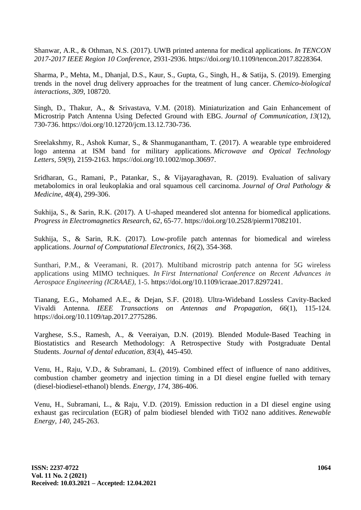Shanwar, A.R., & Othman, N.S. (2017). UWB printed antenna for medical applications. *In TENCON 2017-2017 IEEE Region 10 Conference*, 2931-2936. [https://doi.org/10.1109/tencon.2017.8228364](https://doi.org/)[.](http://paperpile.com/b/zVb3R1/Wh2c)

Sharma, P., Mehta, M., Dhanjal, D.S., Kaur, S., Gupta, G., Singh, H., & Satija, S. (2019). Emerging trends in the novel drug delivery approaches for the treatment of lung cancer. *Chemico-biological interactions*, *309*, 108720.

Singh, D., Thakur, A., & Srivastava, V.M. (2018). Miniaturization and Gain Enhancement of Microstrip Patch Antenna Using Defected Ground with EBG. *Journal of Communication*, *13*(12), 730-73[6. https://doi.org/10.12720/jcm.13.12.730-736.](http://paperpile.com/b/zVb3R1/uDdT)

Sreelakshmy, R., Ashok Kumar, S., & Shanmuganantham, T. (2017). A wearable type embroidered logo antenna at ISM band for military applications. *Microwave and Optical Technology Letters*, *59*(9), 2159-2163. [https://doi.org/10.1002/mop.30697](https://doi.org/)[.](http://paperpile.com/b/zVb3R1/oAGQ)

Sridharan, G., Ramani, P., Patankar, S., & Vijayaraghavan, R. (2019). Evaluation of salivary metabolomics in oral leukoplakia and oral squamous cell carcinoma. *Journal of Oral Pathology & Medicine*, *48*(4), 299-306.

Sukhija, S., & Sarin, R.K. (2017). A U-shaped meandered slot antenna for biomedical applications. *Progress in Electromagnetics Research, 62*, 65-77. https://doi.org/10.2528/pierm1708210[1.](http://paperpile.com/b/zVb3R1/SeGl)

Sukhija, S., & Sarin, R.K. (2017). Low-profile patch antennas for biomedical and wireless applications. *Journal of Computational Electronics*, *16*(2), 354-36[8.](http://paperpile.com/b/zVb3R1/ieX9)

Sunthari, P.M., & Veeramani, R. (2017). Multiband microstrip patch antenna for 5G wireless applications using MIMO techniques. *In First International Conference on Recent Advances in Aerospace Engineering (ICRAAE)*, 1-[5. https://doi.org/10.1109/icraae.2017.8297241.](http://paperpile.com/b/zVb3R1/jOQa)

[Tianang, E.G., Mohamed A.E., & Dejan, S.F. \(2018\). Ultra-Wideband Lossless Cavity-Backed](http://paperpile.com/b/zVb3R1/iBH5)  [Vivaldi Antenna.](http://paperpile.com/b/zVb3R1/iBH5) *[IEEE Transactions on Antennas and Propagation](http://paperpile.com/b/zVb3R1/iBH5)*, *66*[\(1\), 115-124.](http://paperpile.com/b/zVb3R1/iBH5)  [https://doi.org/10.1109/tap.2017.2775286](,%2066(1),%20115-124.%20https:/doi.org/)[.](http://paperpile.com/b/zVb3R1/iBH5)

Varghese, S.S., Ramesh, A., & Veeraiyan, D.N. (2019). Blended Module‐Based Teaching in Biostatistics and Research Methodology: A Retrospective Study with Postgraduate Dental Students. *Journal of dental education*, *83*(4), 445-450.

Venu, H., Raju, V.D., & Subramani, L. (2019). Combined effect of influence of nano additives, combustion chamber geometry and injection timing in a DI diesel engine fuelled with ternary (diesel-biodiesel-ethanol) blends. *Energy*, *174*, 386-406.

Venu, H., Subramani, L., & Raju, V.D. (2019). Emission reduction in a DI diesel engine using exhaust gas recirculation (EGR) of palm biodiesel blended with TiO2 nano additives. *Renewable Energy*, *140*, 245-263.